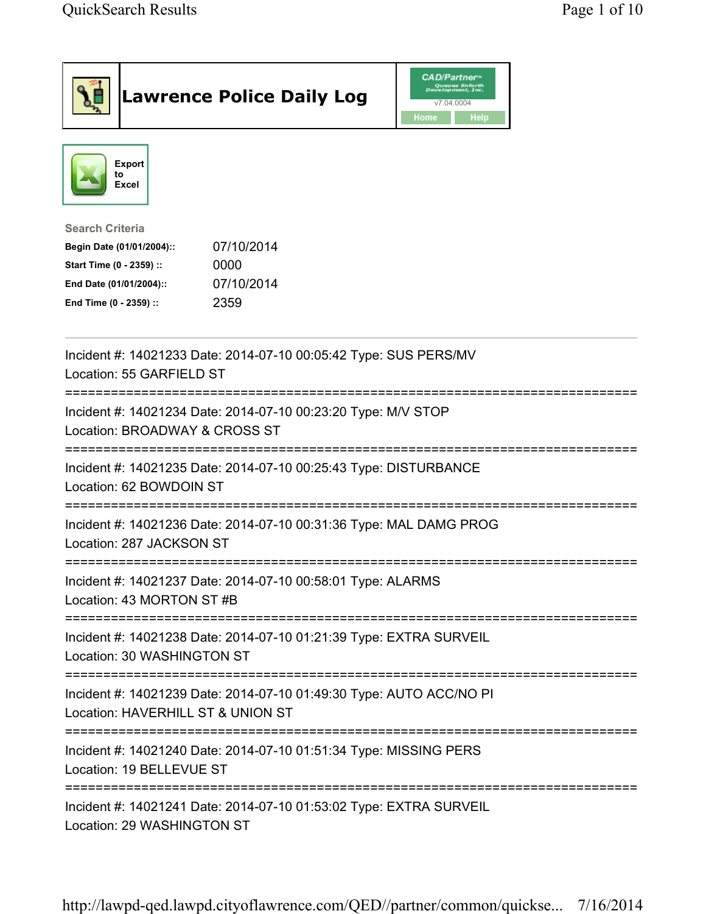|                                                                                                                                      | <b>Lawrence Police Daily Log</b>                                    | <b>CAD/Partner</b><br>Queues Enforth<br>Development, Inc.<br>v7.04.0004<br>Home<br>Help |  |
|--------------------------------------------------------------------------------------------------------------------------------------|---------------------------------------------------------------------|-----------------------------------------------------------------------------------------|--|
| Export<br>to<br>Excel                                                                                                                |                                                                     |                                                                                         |  |
| <b>Search Criteria</b><br>Begin Date (01/01/2004)::<br>Start Time (0 - 2359) ::<br>End Date (01/01/2004)::<br>End Time (0 - 2359) :: | 07/10/2014<br>0000<br>07/10/2014<br>2359                            |                                                                                         |  |
| Location: 55 GARFIELD ST                                                                                                             | Incident #: 14021233 Date: 2014-07-10 00:05:42 Type: SUS PERS/MV    |                                                                                         |  |
| Location: BROADWAY & CROSS ST                                                                                                        | Incident #: 14021234 Date: 2014-07-10 00:23:20 Type: M/V STOP       |                                                                                         |  |
| Location: 62 BOWDOIN ST                                                                                                              | Incident #: 14021235 Date: 2014-07-10 00:25:43 Type: DISTURBANCE    |                                                                                         |  |
| Location: 287 JACKSON ST                                                                                                             | Incident #: 14021236 Date: 2014-07-10 00:31:36 Type: MAL DAMG PROG  |                                                                                         |  |
| Location: 43 MORTON ST #B                                                                                                            | Incident #: 14021237 Date: 2014-07-10 00:58:01 Type: ALARMS         |                                                                                         |  |
| Location: 30 WASHINGTON ST                                                                                                           | Incident #: 14021238 Date: 2014-07-10 01:21:39 Type: EXTRA SURVEIL  |                                                                                         |  |
| Location: HAVERHILL ST & UNION ST                                                                                                    | Incident #: 14021239 Date: 2014-07-10 01:49:30 Type: AUTO ACC/NO PI |                                                                                         |  |
| Location: 19 BELLEVUE ST                                                                                                             | Incident #: 14021240 Date: 2014-07-10 01:51:34 Type: MISSING PERS   |                                                                                         |  |
| Location: 29 WASHINGTON ST                                                                                                           | Incident #: 14021241 Date: 2014-07-10 01:53:02 Type: EXTRA SURVEIL  |                                                                                         |  |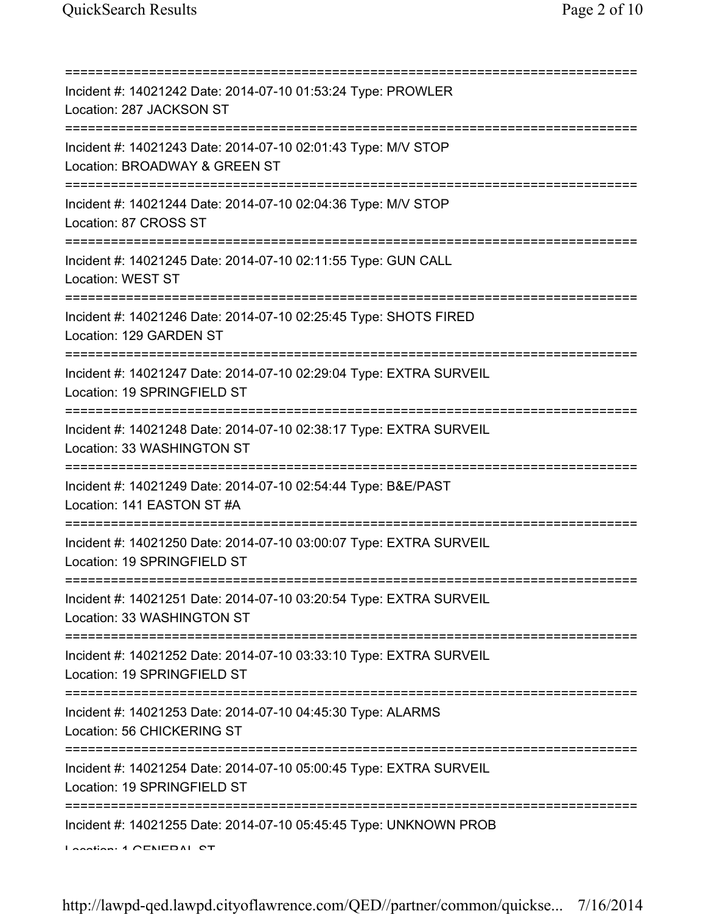| Incident #: 14021242 Date: 2014-07-10 01:53:24 Type: PROWLER<br>Location: 287 JACKSON ST                                                   |
|--------------------------------------------------------------------------------------------------------------------------------------------|
| Incident #: 14021243 Date: 2014-07-10 02:01:43 Type: M/V STOP<br>Location: BROADWAY & GREEN ST<br>.------------------------                |
| Incident #: 14021244 Date: 2014-07-10 02:04:36 Type: M/V STOP<br>Location: 87 CROSS ST                                                     |
| Incident #: 14021245 Date: 2014-07-10 02:11:55 Type: GUN CALL<br>Location: WEST ST                                                         |
| ;=============================<br>Incident #: 14021246 Date: 2014-07-10 02:25:45 Type: SHOTS FIRED<br>Location: 129 GARDEN ST              |
| Incident #: 14021247 Date: 2014-07-10 02:29:04 Type: EXTRA SURVEIL<br>Location: 19 SPRINGFIELD ST                                          |
| Incident #: 14021248 Date: 2014-07-10 02:38:17 Type: EXTRA SURVEIL<br>Location: 33 WASHINGTON ST                                           |
| Incident #: 14021249 Date: 2014-07-10 02:54:44 Type: B&E/PAST<br>Location: 141 EASTON ST #A                                                |
| Incident #: 14021250 Date: 2014-07-10 03:00:07 Type: EXTRA SURVEIL<br>Location: 19 SPRINGFIELD ST                                          |
| Incident #: 14021251 Date: 2014-07-10 03:20:54 Type: EXTRA SURVEIL<br>Location: 33 WASHINGTON ST                                           |
| =====================================<br>Incident #: 14021252 Date: 2014-07-10 03:33:10 Type: EXTRA SURVEIL<br>Location: 19 SPRINGFIELD ST |
| Incident #: 14021253 Date: 2014-07-10 04:45:30 Type: ALARMS<br>Location: 56 CHICKERING ST                                                  |
| Incident #: 14021254 Date: 2014-07-10 05:00:45 Type: EXTRA SURVEIL<br>Location: 19 SPRINGFIELD ST                                          |
| Incident #: 14021255 Date: 2014-07-10 05:45:45 Type: UNKNOWN PROB<br>Lootion: 4 CENEDAL CT                                                 |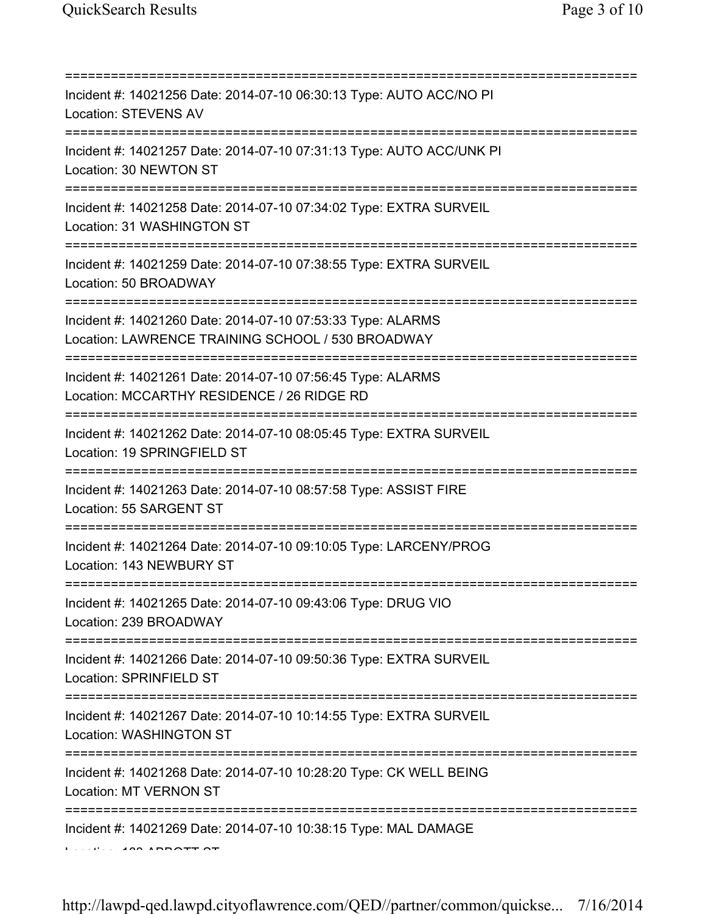| Incident #: 14021256 Date: 2014-07-10 06:30:13 Type: AUTO ACC/NO PI<br><b>Location: STEVENS AV</b><br>===================================== |
|---------------------------------------------------------------------------------------------------------------------------------------------|
| Incident #: 14021257 Date: 2014-07-10 07:31:13 Type: AUTO ACC/UNK PI<br>Location: 30 NEWTON ST<br>================================          |
| Incident #: 14021258 Date: 2014-07-10 07:34:02 Type: EXTRA SURVEIL<br>Location: 31 WASHINGTON ST                                            |
| Incident #: 14021259 Date: 2014-07-10 07:38:55 Type: EXTRA SURVEIL<br>Location: 50 BROADWAY                                                 |
| Incident #: 14021260 Date: 2014-07-10 07:53:33 Type: ALARMS<br>Location: LAWRENCE TRAINING SCHOOL / 530 BROADWAY                            |
| Incident #: 14021261 Date: 2014-07-10 07:56:45 Type: ALARMS<br>Location: MCCARTHY RESIDENCE / 26 RIDGE RD                                   |
| Incident #: 14021262 Date: 2014-07-10 08:05:45 Type: EXTRA SURVEIL<br>Location: 19 SPRINGFIELD ST                                           |
| Incident #: 14021263 Date: 2014-07-10 08:57:58 Type: ASSIST FIRE<br>Location: 55 SARGENT ST                                                 |
| Incident #: 14021264 Date: 2014-07-10 09:10:05 Type: LARCENY/PROG<br>Location: 143 NEWBURY ST                                               |
| Incident #: 14021265 Date: 2014-07-10 09:43:06 Type: DRUG VIO<br>Location: 239 BROADWAY                                                     |
| -------------------------------------<br>Incident #: 14021266 Date: 2014-07-10 09:50:36 Type: EXTRA SURVEIL<br>Location: SPRINFIELD ST      |
| ================================<br>Incident #: 14021267 Date: 2014-07-10 10:14:55 Type: EXTRA SURVEIL<br>Location: WASHINGTON ST           |
| Incident #: 14021268 Date: 2014-07-10 10:28:20 Type: CK WELL BEING<br>Location: MT VERNON ST                                                |
| Incident #: 14021269 Date: 2014-07-10 10:38:15 Type: MAL DAMAGE                                                                             |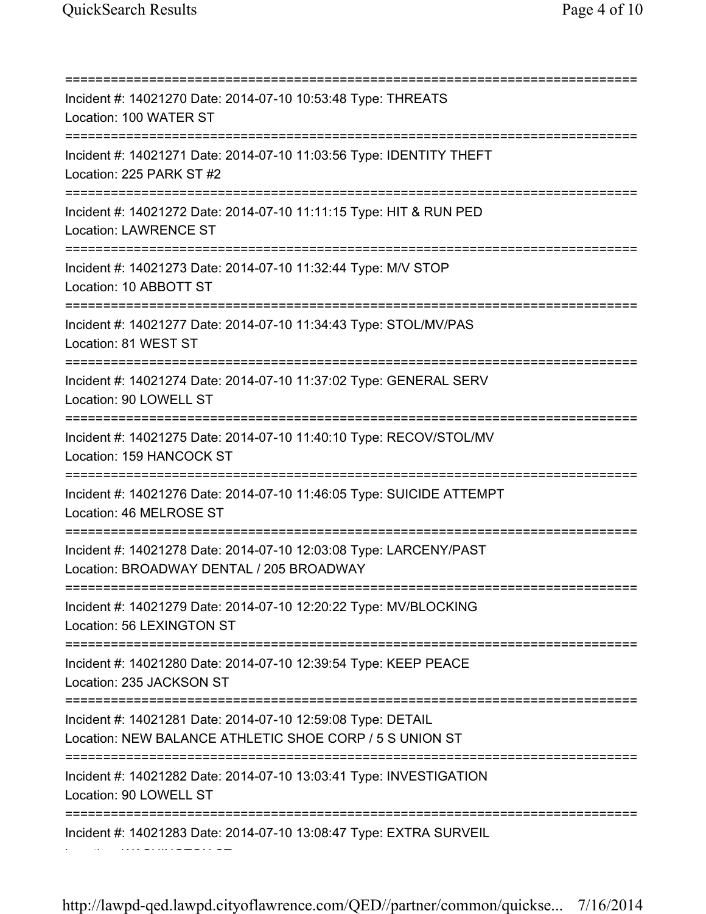Location: WASHINGTON ST

=========================================================================== Incident #: 14021270 Date: 2014-07-10 10:53:48 Type: THREATS Location: 100 WATER ST =========================================================================== Incident #: 14021271 Date: 2014-07-10 11:03:56 Type: IDENTITY THEFT Location: 225 PARK ST #2 =========================================================================== Incident #: 14021272 Date: 2014-07-10 11:11:15 Type: HIT & RUN PED Location: LAWRENCE ST =========================================================================== Incident #: 14021273 Date: 2014-07-10 11:32:44 Type: M/V STOP Location: 10 ABBOTT ST =========================================================================== Incident #: 14021277 Date: 2014-07-10 11:34:43 Type: STOL/MV/PAS Location: 81 WEST ST =========================================================================== Incident #: 14021274 Date: 2014-07-10 11:37:02 Type: GENERAL SERV Location: 90 LOWELL ST =========================================================================== Incident #: 14021275 Date: 2014-07-10 11:40:10 Type: RECOV/STOL/MV Location: 159 HANCOCK ST =========================================================================== Incident #: 14021276 Date: 2014-07-10 11:46:05 Type: SUICIDE ATTEMPT Location: 46 MELROSE ST =========================================================================== Incident #: 14021278 Date: 2014-07-10 12:03:08 Type: LARCENY/PAST Location: BROADWAY DENTAL / 205 BROADWAY =========================================================================== Incident #: 14021279 Date: 2014-07-10 12:20:22 Type: MV/BLOCKING Location: 56 LEXINGTON ST =========================================================================== Incident #: 14021280 Date: 2014-07-10 12:39:54 Type: KEEP PEACE Location: 235 JACKSON ST =========================================================================== Incident #: 14021281 Date: 2014-07-10 12:59:08 Type: DETAIL Location: NEW BALANCE ATHLETIC SHOE CORP / 5 S UNION ST =========================================================================== Incident #: 14021282 Date: 2014-07-10 13:03:41 Type: INVESTIGATION Location: 90 LOWELL ST =========================================================================== Incident #: 14021283 Date: 2014-07-10 13:08:47 Type: EXTRA SURVEIL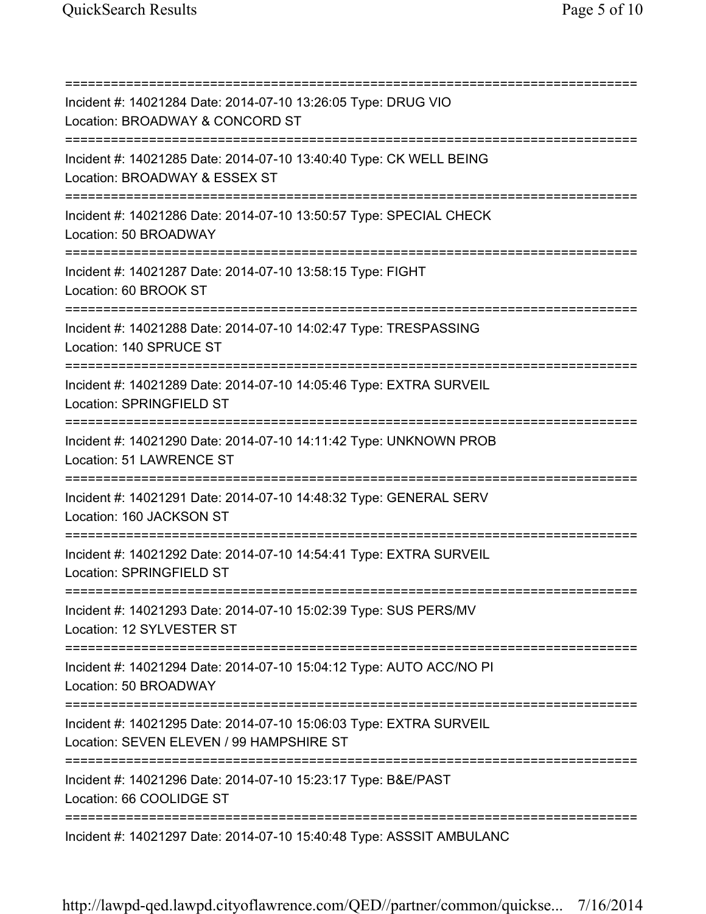=========================================================================== Incident #: 14021284 Date: 2014-07-10 13:26:05 Type: DRUG VIO Location: BROADWAY & CONCORD ST =========================================================================== Incident #: 14021285 Date: 2014-07-10 13:40:40 Type: CK WELL BEING Location: BROADWAY & ESSEX ST =========================================================================== Incident #: 14021286 Date: 2014-07-10 13:50:57 Type: SPECIAL CHECK Location: 50 BROADWAY =========================================================================== Incident #: 14021287 Date: 2014-07-10 13:58:15 Type: FIGHT Location: 60 BROOK ST =========================================================================== Incident #: 14021288 Date: 2014-07-10 14:02:47 Type: TRESPASSING Location: 140 SPRUCE ST =========================================================================== Incident #: 14021289 Date: 2014-07-10 14:05:46 Type: EXTRA SURVEIL Location: SPRINGFIELD ST =========================================================================== Incident #: 14021290 Date: 2014-07-10 14:11:42 Type: UNKNOWN PROB Location: 51 LAWRENCE ST =========================================================================== Incident #: 14021291 Date: 2014-07-10 14:48:32 Type: GENERAL SERV Location: 160 JACKSON ST =========================================================================== Incident #: 14021292 Date: 2014-07-10 14:54:41 Type: EXTRA SURVEIL Location: SPRINGFIELD ST =========================================================================== Incident #: 14021293 Date: 2014-07-10 15:02:39 Type: SUS PERS/MV Location: 12 SYLVESTER ST =========================================================================== Incident #: 14021294 Date: 2014-07-10 15:04:12 Type: AUTO ACC/NO PI Location: 50 BROADWAY =========================================================================== Incident #: 14021295 Date: 2014-07-10 15:06:03 Type: EXTRA SURVEIL Location: SEVEN ELEVEN / 99 HAMPSHIRE ST =========================================================================== Incident #: 14021296 Date: 2014-07-10 15:23:17 Type: B&E/PAST Location: 66 COOLIDGE ST =========================================================================== Incident #: 14021297 Date: 2014-07-10 15:40:48 Type: ASSSIT AMBULANC

http://lawpd-qed.lawpd.cityoflawrence.com/QED//partner/common/quickse... 7/16/2014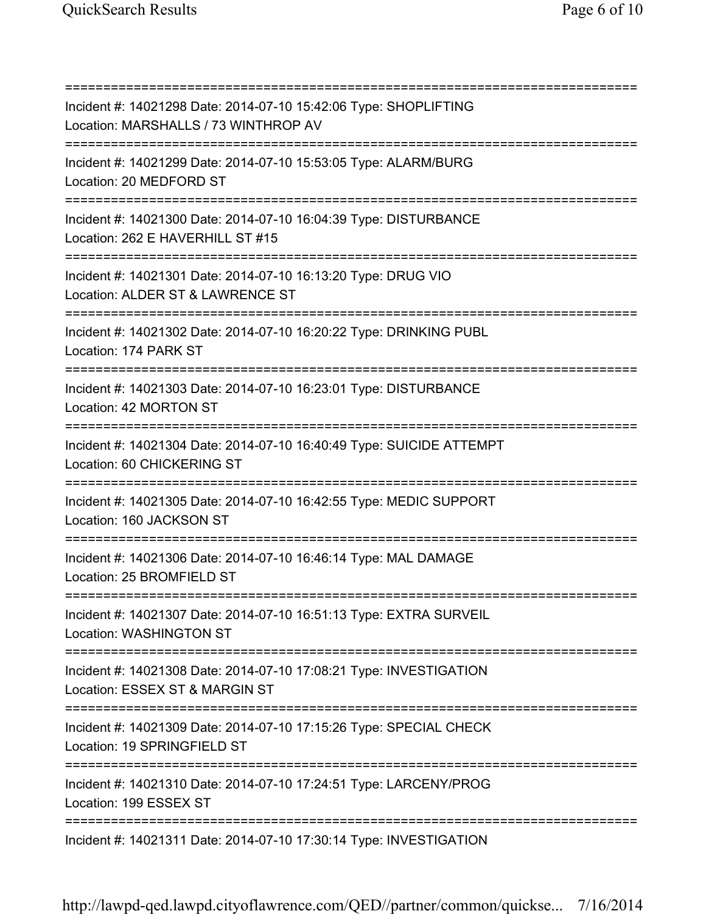=========================================================================== Incident #: 14021298 Date: 2014-07-10 15:42:06 Type: SHOPLIFTING Location: MARSHALLS / 73 WINTHROP AV =========================================================================== Incident #: 14021299 Date: 2014-07-10 15:53:05 Type: ALARM/BURG Location: 20 MEDFORD ST =========================================================================== Incident #: 14021300 Date: 2014-07-10 16:04:39 Type: DISTURBANCE Location: 262 E HAVERHILL ST #15 =========================================================================== Incident #: 14021301 Date: 2014-07-10 16:13:20 Type: DRUG VIO Location: ALDER ST & LAWRENCE ST =========================================================================== Incident #: 14021302 Date: 2014-07-10 16:20:22 Type: DRINKING PUBL Location: 174 PARK ST =========================================================================== Incident #: 14021303 Date: 2014-07-10 16:23:01 Type: DISTURBANCE Location: 42 MORTON ST =========================================================================== Incident #: 14021304 Date: 2014-07-10 16:40:49 Type: SUICIDE ATTEMPT Location: 60 CHICKERING ST =========================================================================== Incident #: 14021305 Date: 2014-07-10 16:42:55 Type: MEDIC SUPPORT Location: 160 JACKSON ST =========================================================================== Incident #: 14021306 Date: 2014-07-10 16:46:14 Type: MAL DAMAGE Location: 25 BROMFIELD ST =========================================================================== Incident #: 14021307 Date: 2014-07-10 16:51:13 Type: EXTRA SURVEIL Location: WASHINGTON ST =========================================================================== Incident #: 14021308 Date: 2014-07-10 17:08:21 Type: INVESTIGATION Location: ESSEX ST & MARGIN ST =========================================================================== Incident #: 14021309 Date: 2014-07-10 17:15:26 Type: SPECIAL CHECK Location: 19 SPRINGFIELD ST =========================================================================== Incident #: 14021310 Date: 2014-07-10 17:24:51 Type: LARCENY/PROG Location: 199 ESSEX ST =========================================================================== Incident #: 14021311 Date: 2014-07-10 17:30:14 Type: INVESTIGATION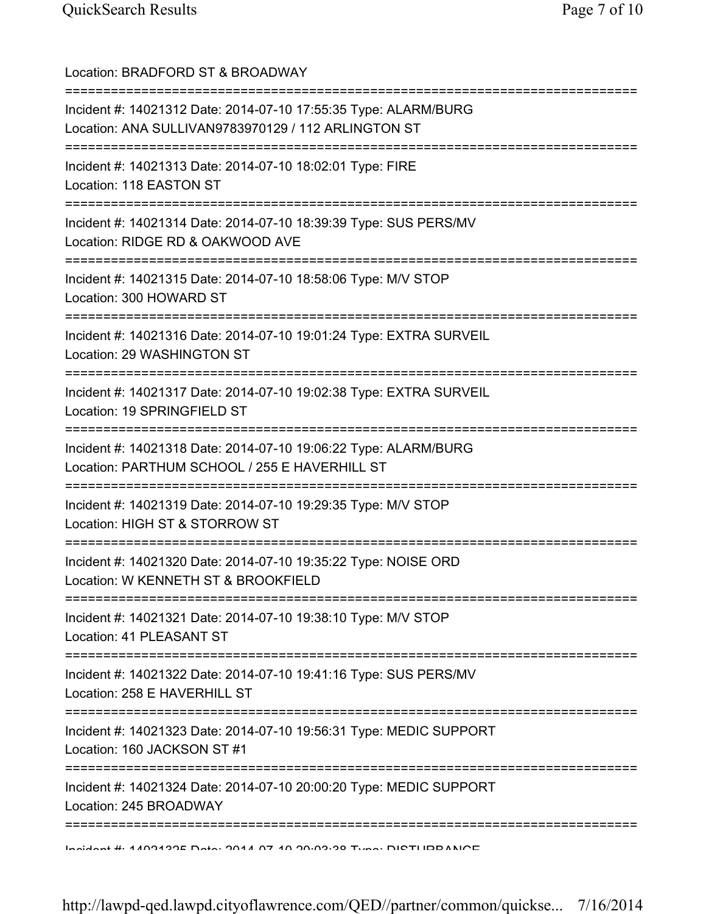| Location: BRADFORD ST & BROADWAY                                                                                                                               |
|----------------------------------------------------------------------------------------------------------------------------------------------------------------|
| Incident #: 14021312 Date: 2014-07-10 17:55:35 Type: ALARM/BURG<br>Location: ANA SULLIVAN9783970129 / 112 ARLINGTON ST<br>==================================== |
| Incident #: 14021313 Date: 2014-07-10 18:02:01 Type: FIRE<br>Location: 118 EASTON ST<br>=====================================                                  |
| Incident #: 14021314 Date: 2014-07-10 18:39:39 Type: SUS PERS/MV<br>Location: RIDGE RD & OAKWOOD AVE                                                           |
| Incident #: 14021315 Date: 2014-07-10 18:58:06 Type: M/V STOP<br>Location: 300 HOWARD ST                                                                       |
| Incident #: 14021316 Date: 2014-07-10 19:01:24 Type: EXTRA SURVEIL<br>Location: 29 WASHINGTON ST                                                               |
| Incident #: 14021317 Date: 2014-07-10 19:02:38 Type: EXTRA SURVEIL<br>Location: 19 SPRINGFIELD ST                                                              |
| Incident #: 14021318 Date: 2014-07-10 19:06:22 Type: ALARM/BURG<br>Location: PARTHUM SCHOOL / 255 E HAVERHILL ST                                               |
| Incident #: 14021319 Date: 2014-07-10 19:29:35 Type: M/V STOP<br>Location: HIGH ST & STORROW ST                                                                |
| Incident #: 14021320 Date: 2014-07-10 19:35:22 Type: NOISE ORD<br>Location: W KENNETH ST & BROOKFIELD                                                          |
| Incident #: 14021321 Date: 2014-07-10 19:38:10 Type: M/V STOP<br>Location: 41 PLEASANT ST                                                                      |
| =====================================<br>Incident #: 14021322 Date: 2014-07-10 19:41:16 Type: SUS PERS/MV<br>Location: 258 E HAVERHILL ST                      |
| Incident #: 14021323 Date: 2014-07-10 19:56:31 Type: MEDIC SUPPORT<br>Location: 160 JACKSON ST #1                                                              |
| :=========<br>Incident #: 14021324 Date: 2014-07-10 20:00:20 Type: MEDIC SUPPORT<br>Location: 245 BROADWAY                                                     |
| <u> 100111001110012006 - 10014 07 1000000 - 1000 001110011100</u>                                                                                              |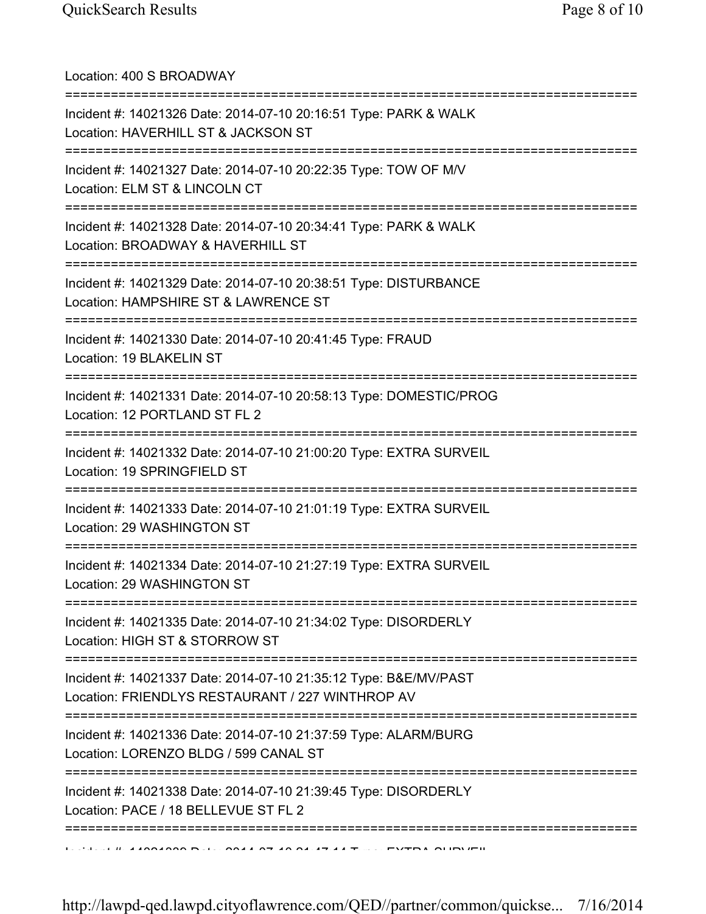| Location: 400 S BROADWAY                                                                                                           |
|------------------------------------------------------------------------------------------------------------------------------------|
| Incident #: 14021326 Date: 2014-07-10 20:16:51 Type: PARK & WALK<br>Location: HAVERHILL ST & JACKSON ST                            |
| Incident #: 14021327 Date: 2014-07-10 20:22:35 Type: TOW OF M/V<br>Location: ELM ST & LINCOLN CT<br>============================== |
| Incident #: 14021328 Date: 2014-07-10 20:34:41 Type: PARK & WALK<br>Location: BROADWAY & HAVERHILL ST                              |
| Incident #: 14021329 Date: 2014-07-10 20:38:51 Type: DISTURBANCE<br>Location: HAMPSHIRE ST & LAWRENCE ST                           |
| Incident #: 14021330 Date: 2014-07-10 20:41:45 Type: FRAUD<br>Location: 19 BLAKELIN ST                                             |
| Incident #: 14021331 Date: 2014-07-10 20:58:13 Type: DOMESTIC/PROG<br>Location: 12 PORTLAND ST FL 2<br>================            |
| Incident #: 14021332 Date: 2014-07-10 21:00:20 Type: EXTRA SURVEIL<br>Location: 19 SPRINGFIELD ST                                  |
| Incident #: 14021333 Date: 2014-07-10 21:01:19 Type: EXTRA SURVEIL<br>Location: 29 WASHINGTON ST                                   |
| Incident #: 14021334 Date: 2014-07-10 21:27:19 Type: EXTRA SURVEIL<br>Location: 29 WASHINGTON ST                                   |
| Incident #: 14021335 Date: 2014-07-10 21:34:02 Type: DISORDERLY<br>Location: HIGH ST & STORROW ST                                  |
| Incident #: 14021337 Date: 2014-07-10 21:35:12 Type: B&E/MV/PAST<br>Location: FRIENDLYS RESTAURANT / 227 WINTHROP AV               |
| Incident #: 14021336 Date: 2014-07-10 21:37:59 Type: ALARM/BURG<br>Location: LORENZO BLDG / 599 CANAL ST                           |
| Incident #: 14021338 Date: 2014-07-10 21:39:45 Type: DISORDERLY<br>Location: PACE / 18 BELLEVUE ST FL 2                            |
|                                                                                                                                    |

http://lawpd-qed.lawpd.cityoflawrence.com/QED//partner/common/quickse... 7/16/2014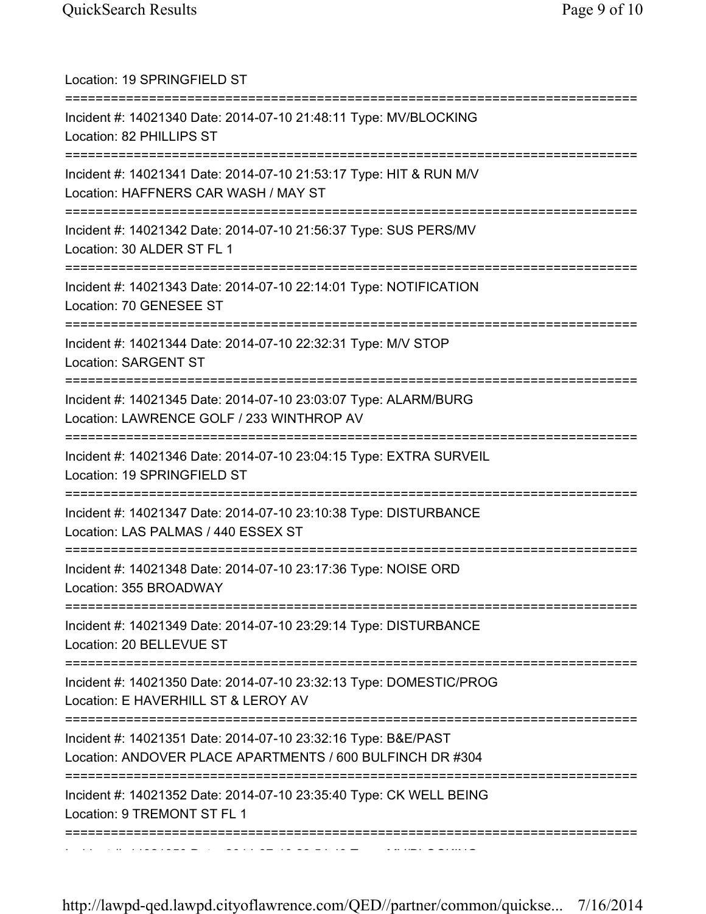| Location: 19 SPRINGFIELD ST<br>=====================================                                                                                 |
|------------------------------------------------------------------------------------------------------------------------------------------------------|
| Incident #: 14021340 Date: 2014-07-10 21:48:11 Type: MV/BLOCKING<br>Location: 82 PHILLIPS ST<br>:==================================                  |
| Incident #: 14021341 Date: 2014-07-10 21:53:17 Type: HIT & RUN M/V<br>Location: HAFFNERS CAR WASH / MAY ST                                           |
| Incident #: 14021342 Date: 2014-07-10 21:56:37 Type: SUS PERS/MV<br>Location: 30 ALDER ST FL 1                                                       |
| Incident #: 14021343 Date: 2014-07-10 22:14:01 Type: NOTIFICATION<br>Location: 70 GENESEE ST                                                         |
| ;===================================<br>Incident #: 14021344 Date: 2014-07-10 22:32:31 Type: M/V STOP<br>Location: SARGENT ST                        |
| Incident #: 14021345 Date: 2014-07-10 23:03:07 Type: ALARM/BURG<br>Location: LAWRENCE GOLF / 233 WINTHROP AV<br>==================================== |
| Incident #: 14021346 Date: 2014-07-10 23:04:15 Type: EXTRA SURVEIL<br>Location: 19 SPRINGFIELD ST                                                    |
| Incident #: 14021347 Date: 2014-07-10 23:10:38 Type: DISTURBANCE<br>Location: LAS PALMAS / 440 ESSEX ST                                              |
| =============================<br>Incident #: 14021348 Date: 2014-07-10 23:17:36 Type: NOISE ORD<br>Location: 355 BROADWAY                            |
| Incident #: 14021349 Date: 2014-07-10 23:29:14 Type: DISTURBANCE<br>Location: 20 BELLEVUE ST                                                         |
| Incident #: 14021350 Date: 2014-07-10 23:32:13 Type: DOMESTIC/PROG<br>Location: E HAVERHILL ST & LEROY AV                                            |
| Incident #: 14021351 Date: 2014-07-10 23:32:16 Type: B&E/PAST<br>Location: ANDOVER PLACE APARTMENTS / 600 BULFINCH DR #304                           |
| Incident #: 14021352 Date: 2014-07-10 23:35:40 Type: CK WELL BEING<br>Location: 9 TREMONT ST FL 1                                                    |
|                                                                                                                                                      |